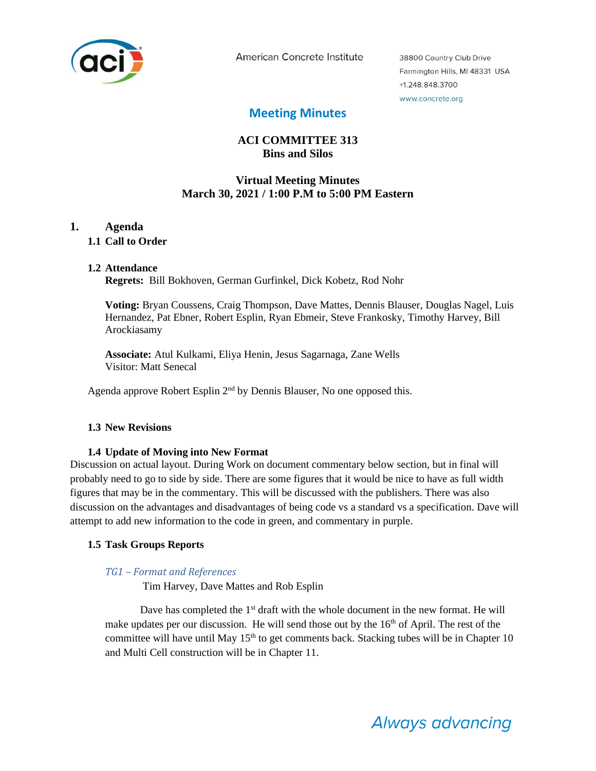

American Concrete Institute

38800 Country Club Drive Farmington Hills, MI 48331 USA +1.248.848.3700 www.concrete.org

# **Meeting Minutes**

# **ACI COMMITTEE 313 Bins and Silos**

## **Virtual Meeting Minutes March 30, 2021 / 1:00 P.M to 5:00 PM Eastern**

## **1. Agenda**

## **1.1 Call to Order**

### **1.2 Attendance**

**Regrets:** Bill Bokhoven, German Gurfinkel, Dick Kobetz, Rod Nohr

**Voting:** Bryan Coussens, Craig Thompson, Dave Mattes, Dennis Blauser, Douglas Nagel, Luis Hernandez, Pat Ebner, Robert Esplin, Ryan Ebmeir, Steve Frankosky, Timothy Harvey, Bill Arockiasamy

**Associate:** Atul Kulkami, Eliya Henin, Jesus Sagarnaga, Zane Wells Visitor: Matt Senecal

Agenda approve Robert Esplin 2<sup>nd</sup> by Dennis Blauser, No one opposed this.

### **1.3 New Revisions**

### **1.4 Update of Moving into New Format**

Discussion on actual layout. During Work on document commentary below section, but in final will probably need to go to side by side. There are some figures that it would be nice to have as full width figures that may be in the commentary. This will be discussed with the publishers. There was also discussion on the advantages and disadvantages of being code vs a standard vs a specification. Dave will attempt to add new information to the code in green, and commentary in purple.

### **1.5 Task Groups Reports**

### *TG1 – Format and References*

Tim Harvey, Dave Mattes and Rob Esplin

Dave has completed the  $1<sup>st</sup>$  draft with the whole document in the new format. He will make updates per our discussion. He will send those out by the  $16<sup>th</sup>$  of April. The rest of the committee will have until May  $15<sup>th</sup>$  to get comments back. Stacking tubes will be in Chapter 10 and Multi Cell construction will be in Chapter 11.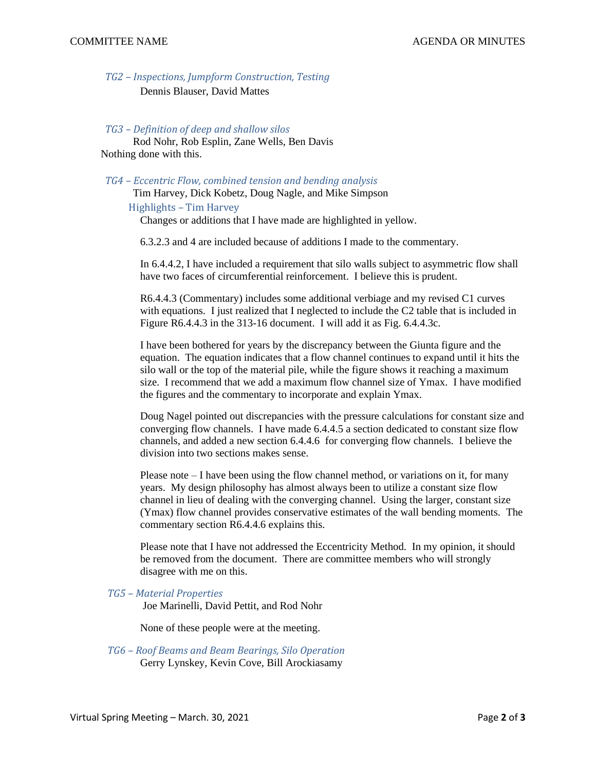*TG2 – Inspections, Jumpform Construction, Testing*

Dennis Blauser, David Mattes

## *TG3 – Definition of deep and shallow silos*

 Rod Nohr, Rob Esplin, Zane Wells, Ben Davis Nothing done with this.

*TG4 – Eccentric Flow, combined tension and bending analysis* Tim Harvey, Dick Kobetz, Doug Nagle, and Mike Simpson

 Highlights – Tim Harvey Changes or additions that I have made are highlighted in yellow.

6.3.2.3 and 4 are included because of additions I made to the commentary.

In 6.4.4.2, I have included a requirement that silo walls subject to asymmetric flow shall have two faces of circumferential reinforcement. I believe this is prudent.

R6.4.4.3 (Commentary) includes some additional verbiage and my revised C1 curves with equations. I just realized that I neglected to include the C2 table that is included in Figure R6.4.4.3 in the 313-16 document. I will add it as Fig. 6.4.4.3c.

I have been bothered for years by the discrepancy between the Giunta figure and the equation. The equation indicates that a flow channel continues to expand until it hits the silo wall or the top of the material pile, while the figure shows it reaching a maximum size. I recommend that we add a maximum flow channel size of Ymax. I have modified the figures and the commentary to incorporate and explain Ymax.

Doug Nagel pointed out discrepancies with the pressure calculations for constant size and converging flow channels. I have made 6.4.4.5 a section dedicated to constant size flow channels, and added a new section 6.4.4.6 for converging flow channels. I believe the division into two sections makes sense.

Please note – I have been using the flow channel method, or variations on it, for many years. My design philosophy has almost always been to utilize a constant size flow channel in lieu of dealing with the converging channel. Using the larger, constant size (Ymax) flow channel provides conservative estimates of the wall bending moments. The commentary section R6.4.4.6 explains this.

Please note that I have not addressed the Eccentricity Method. In my opinion, it should be removed from the document. There are committee members who will strongly disagree with me on this.

#### *TG5 – Material Properties*

Joe Marinelli, David Pettit, and Rod Nohr

None of these people were at the meeting.

*TG6 – Roof Beams and Beam Bearings, Silo Operation* Gerry Lynskey, Kevin Cove, Bill Arockiasamy